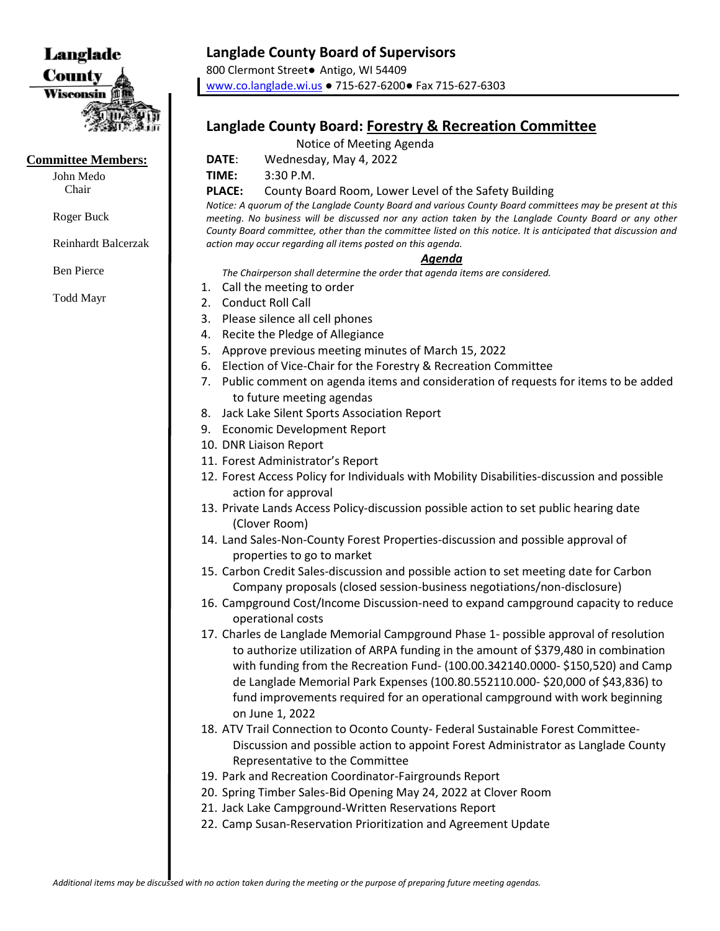

#### **Committee Members:**

John Medo Chair

Roger Buck

Reinhardt Balcerzak

Ben Pierce

Todd Mayr

## **Langlade County Board of Supervisors**

800 Clermont Street● Antigo, WI 54409 [www.co.langlade.wi.us](http://www.co.langlade.wi.us/) ● 715-627-6200● Fax 715-627-6303

# **Langlade County Board: Forestry & Recreation Committee**

### Notice of Meeting Agenda

**DATE**: Wednesday, May 4, 2022

**TIME:** 3:30 P.M.

**PLACE:** County Board Room, Lower Level of the Safety Building

*Notice: A quorum of the Langlade County Board and various County Board committees may be present at this meeting. No business will be discussed nor any action taken by the Langlade County Board or any other County Board committee, other than the committee listed on this notice. It is anticipated that discussion and action may occur regarding all items posted on this agenda.* 

### *Agenda*

*The Chairperson shall determine the order that agenda items are considered.* 

- 1. Call the meeting to order
- 2. Conduct Roll Call
- 3. Please silence all cell phones
- 4. Recite the Pledge of Allegiance
- 5. Approve previous meeting minutes of March 15, 2022
- 6. Election of Vice-Chair for the Forestry & Recreation Committee
- 7. Public comment on agenda items and consideration of requests for items to be added to future meeting agendas
- 8. Jack Lake Silent Sports Association Report
- 9. Economic Development Report
- 10. DNR Liaison Report
- 11. Forest Administrator's Report
- 12. Forest Access Policy for Individuals with Mobility Disabilities-discussion and possible action for approval
- 13. Private Lands Access Policy-discussion possible action to set public hearing date (Clover Room)
- 14. Land Sales-Non-County Forest Properties-discussion and possible approval of properties to go to market
- 15. Carbon Credit Sales-discussion and possible action to set meeting date for Carbon Company proposals (closed session-business negotiations/non-disclosure)
- 16. Campground Cost/Income Discussion-need to expand campground capacity to reduce operational costs
- 17. Charles de Langlade Memorial Campground Phase 1- possible approval of resolution to authorize utilization of ARPA funding in the amount of \$379,480 in combination with funding from the Recreation Fund- (100.00.342140.0000- \$150,520) and Camp de Langlade Memorial Park Expenses (100.80.552110.000- \$20,000 of \$43,836) to fund improvements required for an operational campground with work beginning on June 1, 2022
- 18. ATV Trail Connection to Oconto County- Federal Sustainable Forest Committee-Discussion and possible action to appoint Forest Administrator as Langlade County Representative to the Committee
- 19. Park and Recreation Coordinator-Fairgrounds Report
- 20. Spring Timber Sales-Bid Opening May 24, 2022 at Clover Room
- 21. Jack Lake Campground-Written Reservations Report
- 22. Camp Susan-Reservation Prioritization and Agreement Update